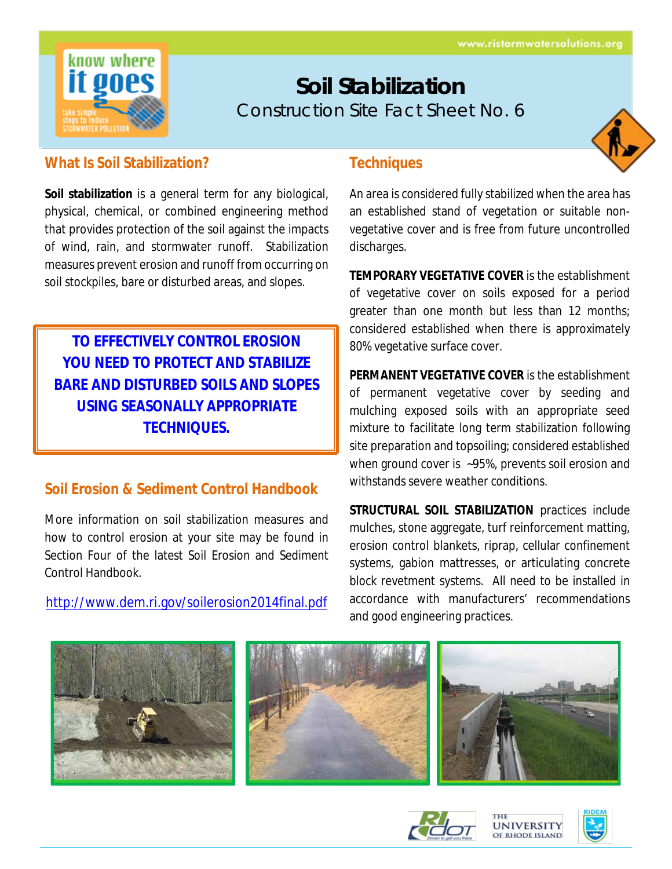

# **Soil Stabilization** Construction Site Fact Sheet No. 6



#### **What Is Soil Stabilization?**

**Soil stabilization** is a general term for any biological, physical, chemical, or combined engineering method that provides protection of the soil against the impacts of wind, rain, and stormwater runoff. Stabilization measures prevent erosion and runoff from occurring on soil stockpiles, bare or disturbed areas, and slopes.

**TO EFFECTIVELY CONTROL EROSION YOU NEED TO PROTECT AND STABILIZE BARE AND DISTURBED SOILS AND SLOPES USING SEASONALLY APPROPRIATE TECHNIQUES.**

## **Soil Erosion & Sediment Control Handbook**

More information on soil stabilization measures and how to control erosion at your site may be found in Section Four of the latest Soil Erosion and Sediment Control Handbook.

<http://www.dem.ri.gov/soilerosion2014final.pdf>

#### **Techniques**

An area is considered fully stabilized when the area has an established stand of vegetation or suitable nonvegetative cover and is free from future uncontrolled discharges.

**TEMPORARY VEGETATIVE COVER** is the establishment of vegetative cover on soils exposed for a period greater than one month but less than 12 months; considered established when there is approximately 80% vegetative surface cover.

**PERMANENT VEGETATIVE COVER** is the establishment of permanent vegetative cover by seeding and mulching exposed soils with an appropriate seed mixture to facilitate long term stabilization following site preparation and topsoiling; considered established when ground cover is ~95%, prevents soil erosion and withstands severe weather conditions.

**STRUCTURAL SOIL STABILIZATION** practices include mulches, stone aggregate, turf reinforcement matting, erosion control blankets, riprap, cellular confinement systems, gabion mattresses, or articulating concrete block revetment systems. All need to be installed in accordance with manufacturers' recommendations and good engineering practices.